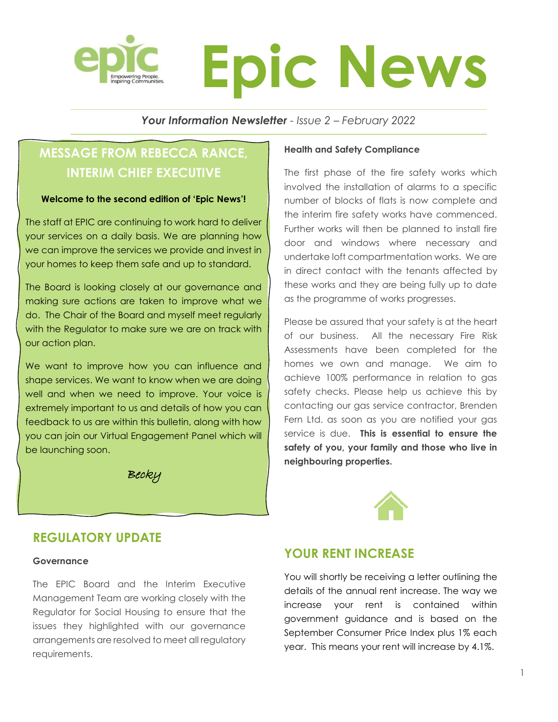

# **Epic News**

*Your Information Newsletter - Issue 2 – February 2022*

### **MESSAGE FROM REBECCA RANCE, INTERIM CHIEF EXECUTIVE**

### **Welcome to the second edition of 'Epic News'!**

The staff at EPIC are continuing to work hard to deliver your services on a daily basis. We are planning how we can improve the services we provide and invest in your homes to keep them safe and up to standard.

The Board is looking closely at our governance and making sure actions are taken to improve what we do. The Chair of the Board and myself meet regularly with the Regulator to make sure we are on track with our action plan.

We want to improve how you can influence and shape services. We want to know when we are doing well and when we need to improve. Your voice is extremely important to us and details of how you can feedback to us are within this bulletin, along with how you can join our Virtual Engagement Panel which will be launching soon.

Becky

### **Health and Safety Compliance**

The first phase of the fire safety works which involved the installation of alarms to a specific number of blocks of flats is now complete and the interim fire safety works have commenced. Further works will then be planned to install fire door and windows where necessary and undertake loft compartmentation works. We are in direct contact with the tenants affected by these works and they are being fully up to date as the programme of works progresses.

Please be assured that your safety is at the heart of our business. All the necessary Fire Risk Assessments have been completed for the homes we own and manage. We aim to achieve 100% performance in relation to gas safety checks. Please help us achieve this by contacting our gas service contractor, Brenden Fern Ltd. as soon as you are notified your gas service is due. **This is essential to ensure the safety of you, your family and those who live in neighbouring properties.** 



### **REGULATORY UPDATE**

### **Governance**

The EPIC Board and the Interim Executive Management Team are working closely with the Regulator for Social Housing to ensure that the issues they highlighted with our governance arrangements are resolved to meet all regulatory requirements.

### **YOUR RENT INCREASE**

You will shortly be receiving a letter outlining the details of the annual rent increase. The way we increase your rent is contained within government guidance and is based on the September Consumer Price Index plus 1% each year. This means your rent will increase by 4.1%.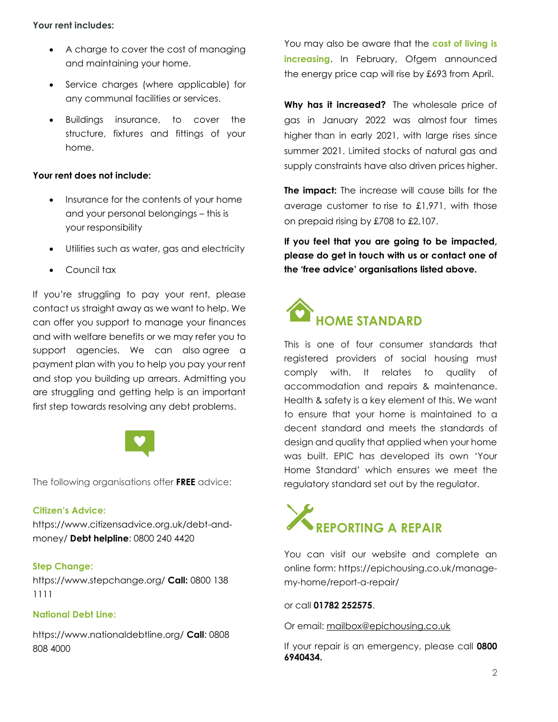### **Your rent includes:**

- A charge to cover the cost of managing and maintaining your home.
- Service charges (where applicable) for any communal facilities or services.
- Buildings insurance, to cover the structure, fixtures and fittings of your home.

### **Your rent does not include:**

- Insurance for the contents of your home and your personal belongings – this is your responsibility
- Utilities such as water, gas and electricity
- Council tax

If you're struggling to pay your rent, please contact us straight away as we want to help. We can offer you support to manage your finances and with welfare benefits or we may refer you to support agencies. We can also agree a payment plan with you to help you pay your rent and stop you building up arrears. Admitting you are struggling and getting help is an important first step towards resolving any debt problems.



The following organisations offer **FREE** advice:

### **Citizen's Advice:**

https://www.citizensadvice.org.uk/debt-andmoney/ **Debt helpline**: [0800 240 4420](tel:08002404420)

### **Step Change:**

https://www.stepchange.org/ **Call:** [0800](tel:+448001381111) 138 [1111](tel:+448001381111)

### **National Debt Line:**

https://www.nationaldebtline.org/ **Call**: 0808 808 4000

You may also be aware that the **cost of living is increasing.** In February, Ofgem announced the energy price cap will rise by £693 from April.

**Why has it increased?** The wholesale price of gas in January 2022 was almost four times higher than in early 2021, with large rises since summer 2021. Limited stocks of natural gas and supply constraints have also driven prices higher.

**The impact:** The increase will cause bills for the average customer to rise to £1,971, with those on prepaid rising by £708 to £2,107.

**If you feel that you are going to be impacted, please do get in touch with us or contact one of the 'free advice' organisations listed above.**



This is one of four consumer standards that registered providers of social housing must comply with. It relates to quality of accommodation and repairs & maintenance. Health & safety is a key element of this. We want to ensure that your home is maintained to a decent standard and meets the standards of design and quality that applied when your home was built. EPIC has developed its own 'Your Home Standard' which ensures we meet the regulatory standard set out by the regulator.

# **REPORTING A REPAIR**

You can visit our website and complete an online form: https://epichousing.co.uk/managemy-home/report-a-repair/

### or call **01782 252575**.

Or email: [mailbox@epichousing.co.uk](mailto:mailbox@epichousing.co.uk)

If your repair is an emergency, please call **0800 6940434.**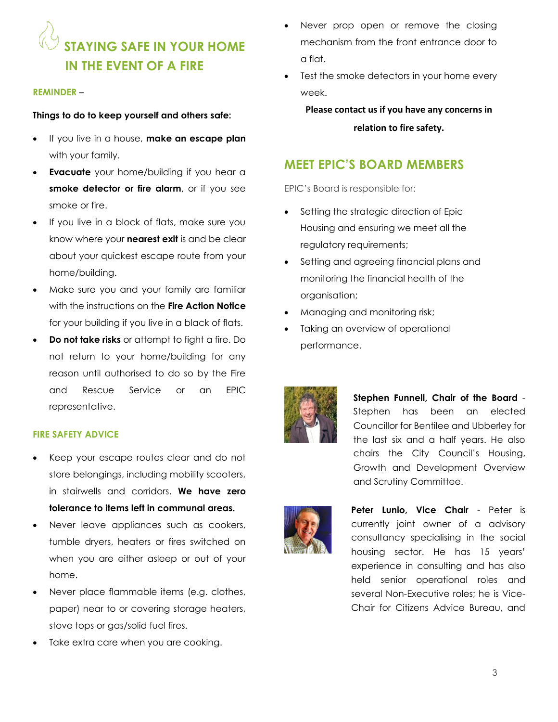## **STAYING SAFE IN YOUR HOME IN THE EVENT OF A FIRE**

### **REMINDER** –

### **Things to do to keep yourself and others safe:**

- If you live in a house, **make an escape plan** with your family.
- **Evacuate** your home/building if you hear a **smoke detector or fire alarm**, or if you see smoke or fire.
- If you live in a block of flats, make sure you know where your **nearest exit** is and be clear about your quickest escape route from your home/building.
- Make sure you and your family are familiar with the instructions on the **Fire Action Notice** for your building if you live in a black of flats.
- **Do not take risks** or attempt to fight a fire. Do not return to your home/building for any reason until authorised to do so by the Fire and Rescue Service or an EPIC representative.

### **FIRE SAFETY ADVICE**

- Keep your escape routes clear and do not store belongings, including mobility scooters, in stairwells and corridors. **We have zero tolerance to items left in communal areas.**
- Never leave appliances such as cookers, tumble dryers, heaters or fires switched on when you are either asleep or out of your home.
- Never place flammable items (e.g. clothes, paper) near to or covering storage heaters, stove tops or gas/solid fuel fires.
- Take extra care when you are cooking.
- Never prop open or remove the closing mechanism from the front entrance door to a flat.
- Test the smoke detectors in your home every week.

**Please contact us if you have any concerns in relation to fire safety.**

### **MEET EPIC'S BOARD MEMBERS**

EPIC's Board is responsible for:

- Setting the strategic direction of Epic Housing and ensuring we meet all the regulatory requirements;
- Setting and agreeing financial plans and monitoring the financial health of the organisation;
- Managing and monitoring risk;
- Taking an overview of operational performance.



**Stephen Funnell, Chair of the Board** - Stephen has been an elected Councillor for Bentilee and Ubberley for the last six and a half years. He also chairs the City Council's Housing, Growth and Development Overview and Scrutiny Committee.



housing sector. He has 15 years' experience in consulting and has also held senior operational roles and **Peter Lunio, Vice Chair** - Peter is currently joint owner of a advisory consultancy specialising in the social several Non-Executive roles; he is Vice-Chair for Citizens Advice Bureau, and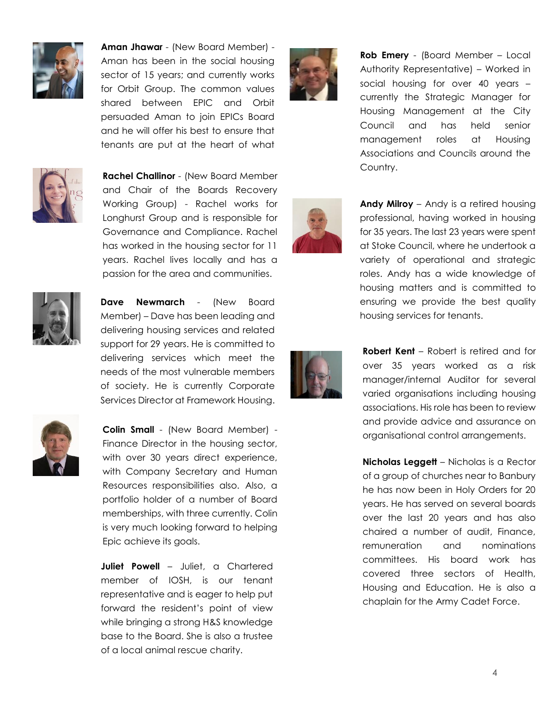

**Aman Jhawar** - (New Board Member) - Aman has been in the social housing sector of 15 years; and currently works for Orbit Group. The common values shared between EPIC and Orbit persuaded Aman to join EPICs Board and he will offer his best to ensure that tenants are put at the heart of what



**Rob Emery** - (Board Member – Local Authority Representative) – Worked in social housing for over 40 years – currently the Strategic Manager for Housing Management at the City Council and has held senior management roles at Housing Associations and Councils around the Country.

**Andy Milroy** – Andy is a retired housing professional, having worked in housing for 35 years. The last 23 years were spent at Stoke Council, where he undertook a variety of operational and strategic roles. Andy has a wide knowledge of housing matters and is committed to ensuring we provide the best quality



**Rachel Challinor** - (New Board Member and Chair of the Boards Recovery Working Group) - Rachel works for Longhurst Group and is responsible for Governance and Compliance. Rachel has worked in the housing sector for 11 years. Rachel lives locally and has a passion for the area and communities.



**Dave Newmarch** - (New Board Member) – Dave has been leading and delivering housing services and related support for 29 years. He is committed to delivering services which meet the needs of the most vulnerable members of society. He is currently Corporate Services Director at Framework Housing.



**Robert Kent** – Robert is retired and for over 35 years worked as a risk manager/internal Auditor for several varied organisations including housing associations. His role has been to review and provide advice and assurance on organisational control arrangements.

housing services for tenants.

**Nicholas Leggett** – Nicholas is a Rector of a group of churches near to Banbury he has now been in Holy Orders for 20 years. He has served on several boards over the last 20 years and has also chaired a number of audit, Finance, remuneration and nominations committees. His board work has covered three sectors of Health, Housing and Education. He is also a chaplain for the Army Cadet Force.



**Colin Small** - (New Board Member) - Finance Director in the housing sector, with over 30 years direct experience, with Company Secretary and Human Resources responsibilities also. Also, a portfolio holder of a number of Board memberships, with three currently. Colin is very much looking forward to helping Epic achieve its goals.

**Juliet Powell** – Juliet, a Chartered member of IOSH, is our tenant representative and is eager to help put forward the resident's point of view while bringing a strong H&S knowledge base to the Board. She is also a trustee of a local animal rescue charity.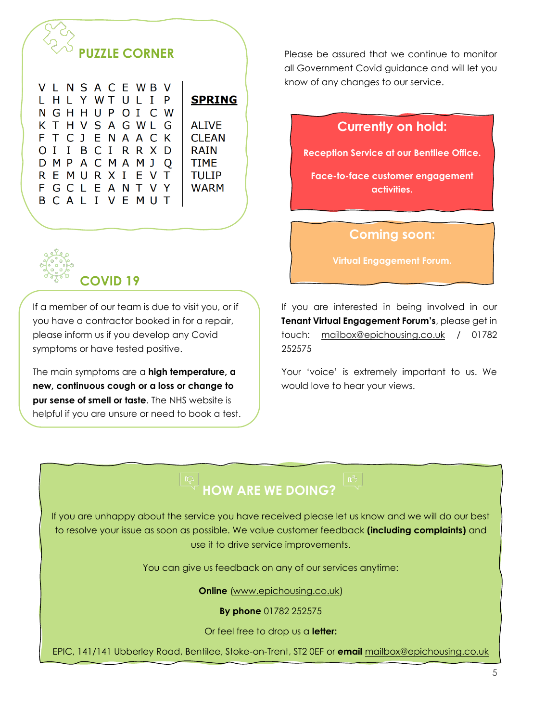| V L N S A C E W B V |  |  |  |     |   |               |
|---------------------|--|--|--|-----|---|---------------|
| L H L Y W T U L     |  |  |  | - Т |   | <b>SPRING</b> |
| N G H H U P O I C W |  |  |  |     |   |               |
| K T H V S A G W L G |  |  |  |     |   | <b>ALIVE</b>  |
| F T C J E N A A C K |  |  |  |     |   | CI FAN        |
| OII B C I R R X D   |  |  |  |     |   | <b>RAIN</b>   |
| D M P A C M A M J   |  |  |  |     | O | <b>TIME</b>   |
| R E M U R X I E V T |  |  |  |     |   | <b>TULIP</b>  |
| F G C L E A N T V Y |  |  |  |     |   | WARM          |
| B C A L I V E M U   |  |  |  |     |   |               |
|                     |  |  |  |     |   |               |



If a member of our team is due to visit you, or if you have a contractor booked in for a repair, please inform us if you develop any Covid symptoms or have tested positive.

The main symptoms are a **high temperature, a new, continuous cough or a loss or change to pur sense of smell or taste**. The NHS website is helpful if you are unsure or need to book a test.

**PUZZLE CORNER** PLEASE PLEASE PLEASE PLEASE PLEASE PLEASE PLEASE PLEASE PLEASE PLEASE PLEASE PLEASE PLEASE PLEASE PLEASE PLEASE PLEASE PLEASE PLEASE PLEASE PLEASE PLEASE PLEASE PLEASE PLEASE PLEASE PLEASE PLEASE PLEASE PLE all Government Covid guidance and will let you know of any changes to our service.



If you are interested in being involved in our **Tenant Virtual Engagement Forum's**, please get in touch: [mailbox@epichousing.co.uk](mailto:mailbox@epichousing.co.uk) / 01782 252575

Your 'voice' is extremely important to us. We would love to hear your views.

# **HOW ARE WE DOING?**

If you are unhappy about the service you have received please let us know and we will do our best to resolve your issue as soon as possible. We value customer feedback **(including complaints)** and use it to drive service improvements.

You can give us feedback on any of our services anytime:

**Online** [\(www.epichousing.co.uk\)](http://www.epichousing.co.uk/)

**By phone** 01782 252575

Or feel free to drop us a **letter:**

EPIC, 141/141 Ubberley Road, Bentilee, Stoke-on-Trent, ST2 0EF or **email** [mailbox@epichousing.co.uk](mailto:mailbox@epichousing.co.uk)